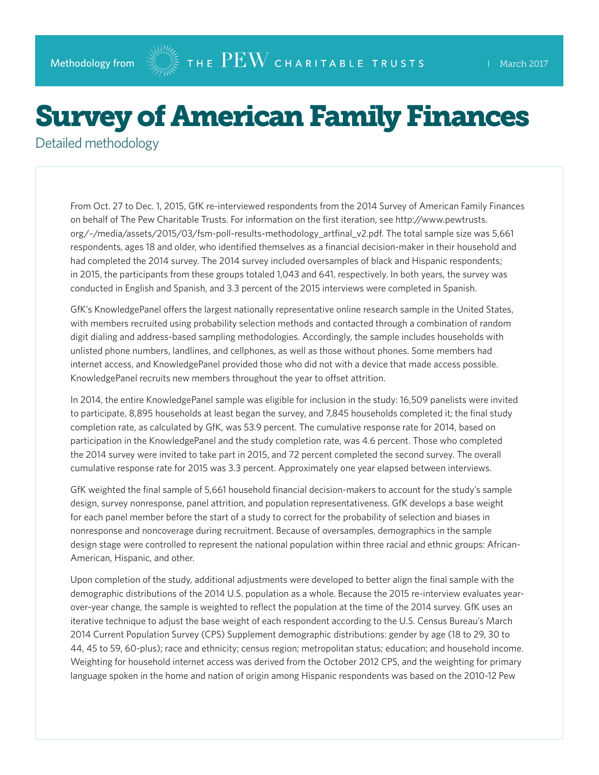## Survey of American Family Finances

Detailed methodology

From Oct. 27 to Dec. 1, 2015, GfK re-interviewed respondents from the 2014 Survey of American Family Finances on behalf of The Pew Charitable Trusts. For information on the first iteration, see [http://www.pewtrusts.](http://www.pewtrusts.org/~/media/assets/2015/03/fsm-poll-results-methodology_artfinal_v2.pdf) [org/~/media/assets/2015/03/fsm-poll-results-methodology\\_artfinal\\_v2.pdf](http://www.pewtrusts.org/~/media/assets/2015/03/fsm-poll-results-methodology_artfinal_v2.pdf). The total sample size was 5,661 respondents, ages 18 and older, who identified themselves as a financial decision-maker in their household and had completed the 2014 survey. The 2014 survey included oversamples of black and Hispanic respondents; in 2015, the participants from these groups totaled 1,043 and 641, respectively. In both years, the survey was conducted in English and Spanish, and 3.3 percent of the 2015 interviews were completed in Spanish.

GfK's KnowledgePanel offers the largest nationally representative online research sample in the United States, with members recruited using probability selection methods and contacted through a combination of random digit dialing and address-based sampling methodologies. Accordingly, the sample includes households with unlisted phone numbers, landlines, and cellphones, as well as those without phones. Some members had internet access, and KnowledgePanel provided those who did not with a device that made access possible. KnowledgePanel recruits new members throughout the year to offset attrition.

In 2014, the entire KnowledgePanel sample was eligible for inclusion in the study: 16,509 panelists were invited to participate, 8,895 households at least began the survey, and 7,845 households completed it; the final study completion rate, as calculated by GfK, was 53.9 percent. The cumulative response rate for 2014, based on participation in the KnowledgePanel and the study completion rate, was 4.6 percent. Those who completed the 2014 survey were invited to take part in 2015, and 72 percent completed the second survey. The overall cumulative response rate for 2015 was 3.3 percent. Approximately one year elapsed between interviews.

GfK weighted the final sample of 5,661 household financial decision-makers to account for the study's sample design, survey nonresponse, panel attrition, and population representativeness. GfK develops a base weight for each panel member before the start of a study to correct for the probability of selection and biases in nonresponse and noncoverage during recruitment. Because of oversamples, demographics in the sample design stage were controlled to represent the national population within three racial and ethnic groups: African-American, Hispanic, and other.

Upon completion of the study, additional adjustments were developed to better align the final sample with the demographic distributions of the 2014 U.S. population as a whole. Because the 2015 re-interview evaluates yearover-year change, the sample is weighted to reflect the population at the time of the 2014 survey. GfK uses an iterative technique to adjust the base weight of each respondent according to the U.S. Census Bureau's March 2014 Current Population Survey (CPS) Supplement demographic distributions: gender by age (18 to 29, 30 to 44, 45 to 59, 60-plus); race and ethnicity; census region; metropolitan status; education; and household income. Weighting for household internet access was derived from the October 2012 CPS, and the weighting for primary language spoken in the home and nation of origin among Hispanic respondents was based on the 2010-12 Pew